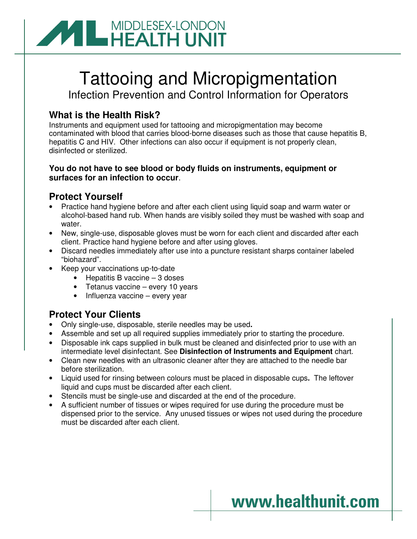

# Tattooing and Micropigmentation

Infection Prevention and Control Information for Operators

### **What is the Health Risk?**

Instruments and equipment used for tattooing and micropigmentation may become contaminated with blood that carries blood-borne diseases such as those that cause hepatitis B, hepatitis C and HIV. Other infections can also occur if equipment is not properly clean, disinfected or sterilized.

#### **You do not have to see blood or body fluids on instruments, equipment or surfaces for an infection to occur**.

#### **Protect Yourself**

- Practice hand hygiene before and after each client using liquid soap and warm water or alcohol-based hand rub. When hands are visibly soiled they must be washed with soap and water.
- New, single-use, disposable gloves must be worn for each client and discarded after each client. Practice hand hygiene before and after using gloves.
- Discard needles immediately after use into a puncture resistant sharps container labeled "biohazard".
- Keep your vaccinations up-to-date
	- Hepatitis B vaccine 3 doses
	- Tetanus vaccine every 10 years
	- Influenza vaccine every year

#### **Protect Your Clients**

- Only single-use, disposable, sterile needles may be used**.**
- Assemble and set up all required supplies immediately prior to starting the procedure.
- Disposable ink caps supplied in bulk must be cleaned and disinfected prior to use with an intermediate level disinfectant. See **Disinfection of Instruments and Equipment** chart.
- Clean new needles with an ultrasonic cleaner after they are attached to the needle bar before sterilization.
- Liquid used for rinsing between colours must be placed in disposable cups**.** The leftover liquid and cups must be discarded after each client.
- Stencils must be single-use and discarded at the end of the procedure.
- A sufficient number of tissues or wipes required for use during the procedure must be dispensed prior to the service. Any unused tissues or wipes not used during the procedure must be discarded after each client.

## www.healthunit.com